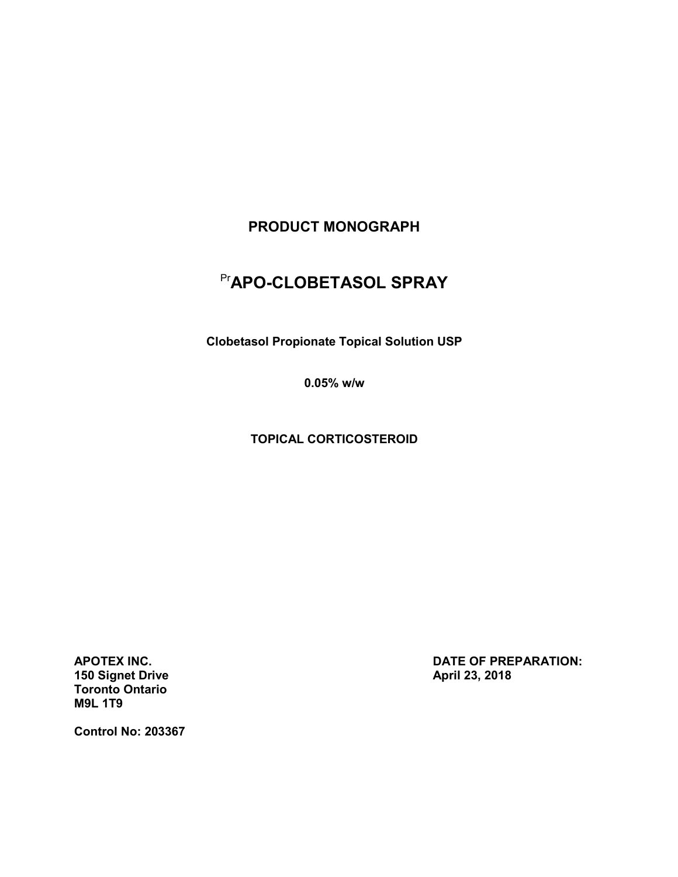# **PRODUCT MONOGRAPH**

# Pr**APO-CLOBETASOL SPRAY**

**Clobetasol Propionate Topical Solution USP**

**0.05% w/w**

**TOPICAL CORTICOSTEROID**

**150 Signet Drive April 23, 2018 Toronto Ontario M9L 1T9**

**APOTEX INC. DATE OF PREPARATION:** 

**Control No: 203367**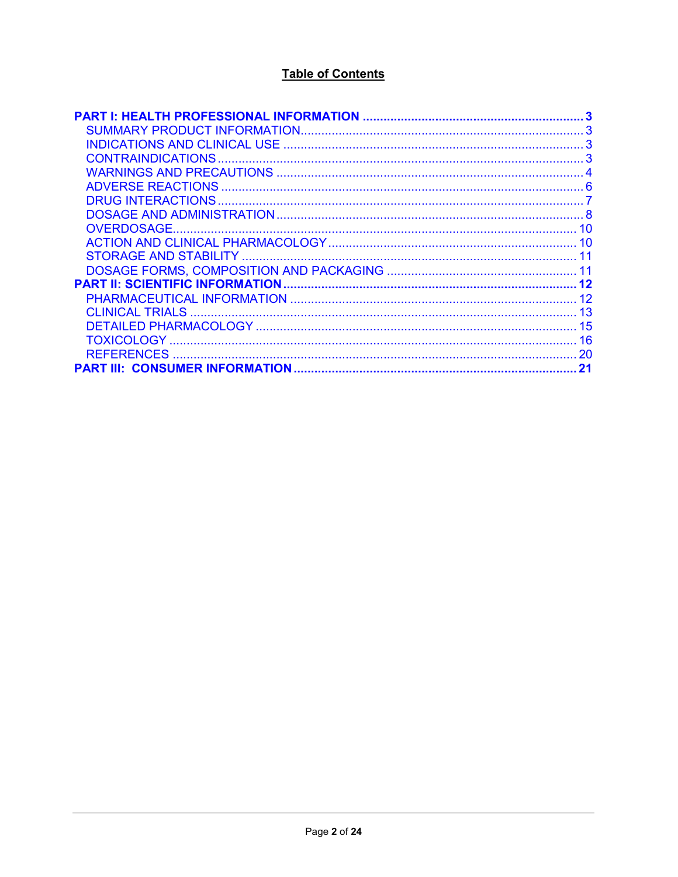# **Table of Contents**

| 21 |
|----|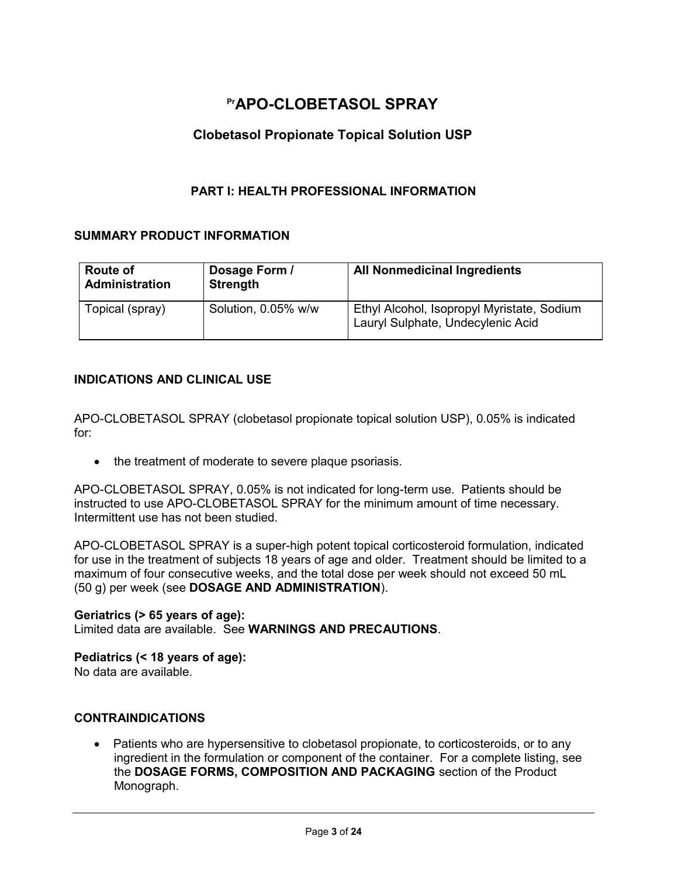# **PrAPO-CLOBETASOL SPRAY**

# **Clobetasol Propionate Topical Solution USP**

### **PART I: HEALTH PROFESSIONAL INFORMATION**

### <span id="page-2-1"></span><span id="page-2-0"></span>**SUMMARY PRODUCT INFORMATION**

| <b>Route of</b><br><b>Administration</b> | Dosage Form /<br><b>Strength</b> | <b>All Nonmedicinal Ingredients</b>                                             |
|------------------------------------------|----------------------------------|---------------------------------------------------------------------------------|
| Topical (spray)                          | Solution, 0.05% w/w              | Ethyl Alcohol, Isopropyl Myristate, Sodium<br>Lauryl Sulphate, Undecylenic Acid |

### <span id="page-2-2"></span>**INDICATIONS AND CLINICAL USE**

APO-CLOBETASOL SPRAY (clobetasol propionate topical solution USP), 0.05% is indicated for:

• the treatment of moderate to severe plaque psoriasis.

APO-CLOBETASOL SPRAY, 0.05% is not indicated for long-term use. Patients should be instructed to use APO-CLOBETASOL SPRAY for the minimum amount of time necessary. Intermittent use has not been studied.

APO-CLOBETASOL SPRAY is a super-high potent topical corticosteroid formulation, indicated for use in the treatment of subjects 18 years of age and older. Treatment should be limited to a maximum of four consecutive weeks, and the total dose per week should not exceed 50 mL (50 g) per week (see **DOSAGE AND ADMINISTRATION**).

### **Geriatrics (> 65 years of age):**

Limited data are available. See **WARNINGS AND PRECAUTIONS**.

### **Pediatrics (< 18 years of age):**

<span id="page-2-3"></span>No data are available.

### **CONTRAINDICATIONS**

• Patients who are hypersensitive to clobetasol propionate, to corticosteroids, or to any ingredient in the formulation or component of the container. For a complete listing, see the **DOSAGE FORMS, COMPOSITION AND PACKAGING** section of the Product Monograph.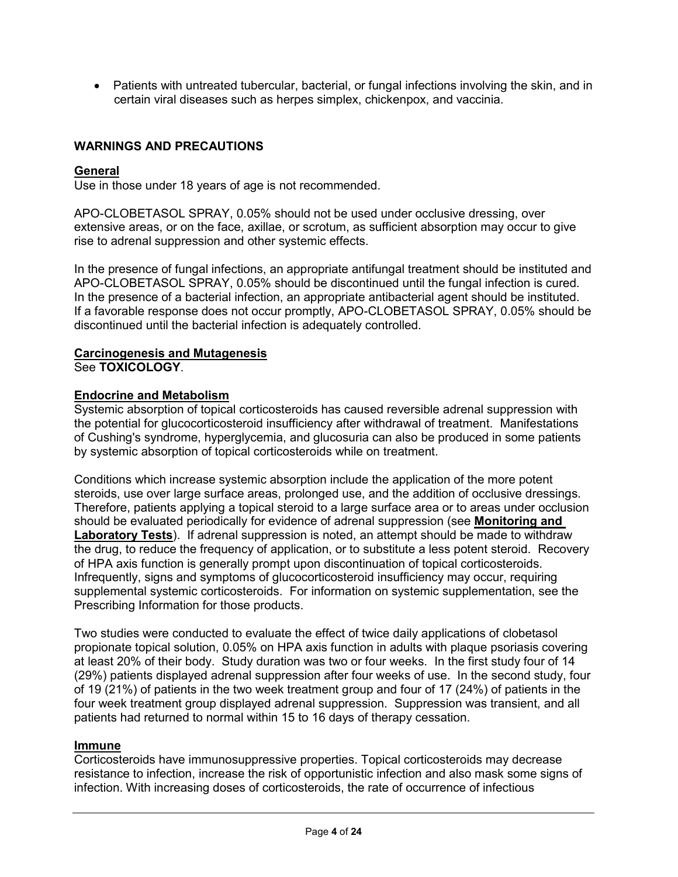• Patients with untreated tubercular, bacterial, or fungal infections involving the skin, and in certain viral diseases such as herpes simplex, chickenpox, and vaccinia.

### <span id="page-3-0"></span>**WARNINGS AND PRECAUTIONS**

#### **General**

Use in those under 18 years of age is not recommended.

APO-CLOBETASOL SPRAY, 0.05% should not be used under occlusive dressing, over extensive areas, or on the face, axillae, or scrotum, as sufficient absorption may occur to give rise to adrenal suppression and other systemic effects.

In the presence of fungal infections, an appropriate antifungal treatment should be instituted and APO-CLOBETASOL SPRAY, 0.05% should be discontinued until the fungal infection is cured. In the presence of a bacterial infection, an appropriate antibacterial agent should be instituted. If a favorable response does not occur promptly, APO-CLOBETASOL SPRAY, 0.05% should be discontinued until the bacterial infection is adequately controlled.

#### **Carcinogenesis and Mutagenesis** See **TOXICOLOGY**.

### **Endocrine and Metabolism**

Systemic absorption of topical corticosteroids has caused reversible adrenal suppression with the potential for glucocorticosteroid insufficiency after withdrawal of treatment. Manifestations of Cushing's syndrome, hyperglycemia, and glucosuria can also be produced in some patients by systemic absorption of topical corticosteroids while on treatment.

Conditions which increase systemic absorption include the application of the more potent steroids, use over large surface areas, prolonged use, and the addition of occlusive dressings. Therefore, patients applying a topical steroid to a large surface area or to areas under occlusion should be evaluated periodically for evidence of adrenal suppression (see **Monitoring and Laboratory Tests**). If adrenal suppression is noted, an attempt should be made to withdraw the drug, to reduce the frequency of application, or to substitute a less potent steroid. Recovery of HPA axis function is generally prompt upon discontinuation of topical corticosteroids. Infrequently, signs and symptoms of glucocorticosteroid insufficiency may occur, requiring supplemental systemic corticosteroids. For information on systemic supplementation, see the Prescribing Information for those products.

Two studies were conducted to evaluate the effect of twice daily applications of clobetasol propionate topical solution, 0.05% on HPA axis function in adults with plaque psoriasis covering at least 20% of their body. Study duration was two or four weeks. In the first study four of 14 (29%) patients displayed adrenal suppression after four weeks of use. In the second study, four of 19 (21%) of patients in the two week treatment group and four of 17 (24%) of patients in the four week treatment group displayed adrenal suppression. Suppression was transient, and all patients had returned to normal within 15 to 16 days of therapy cessation.

#### **Immune**

Corticosteroids have immunosuppressive properties. Topical corticosteroids may decrease resistance to infection, increase the risk of opportunistic infection and also mask some signs of infection. With increasing doses of corticosteroids, the rate of occurrence of infectious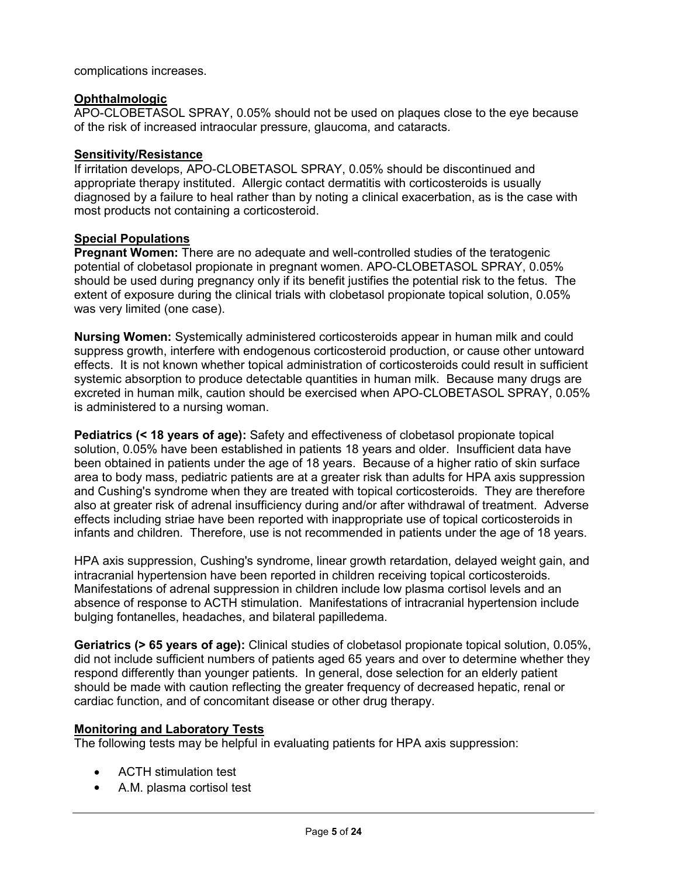complications increases.

### **Ophthalmologic**

APO-CLOBETASOL SPRAY, 0.05% should not be used on plaques close to the eye because of the risk of increased intraocular pressure, glaucoma, and cataracts.

#### **Sensitivity/Resistance**

If irritation develops, APO-CLOBETASOL SPRAY, 0.05% should be discontinued and appropriate therapy instituted. Allergic contact dermatitis with corticosteroids is usually diagnosed by a failure to heal rather than by noting a clinical exacerbation, as is the case with most products not containing a corticosteroid.

### **Special Populations**

**Pregnant Women:** There are no adequate and well-controlled studies of the teratogenic potential of clobetasol propionate in pregnant women. APO-CLOBETASOL SPRAY, 0.05% should be used during pregnancy only if its benefit justifies the potential risk to the fetus. The extent of exposure during the clinical trials with clobetasol propionate topical solution, 0.05% was very limited (one case).

**Nursing Women:** Systemically administered corticosteroids appear in human milk and could suppress growth, interfere with endogenous corticosteroid production, or cause other untoward effects. It is not known whether topical administration of corticosteroids could result in sufficient systemic absorption to produce detectable quantities in human milk. Because many drugs are excreted in human milk, caution should be exercised when APO-CLOBETASOL SPRAY, 0.05% is administered to a nursing woman.

**Pediatrics (< 18 years of age):** Safety and effectiveness of clobetasol propionate topical solution, 0.05% have been established in patients 18 years and older. Insufficient data have been obtained in patients under the age of 18 years. Because of a higher ratio of skin surface area to body mass, pediatric patients are at a greater risk than adults for HPA axis suppression and Cushing's syndrome when they are treated with topical corticosteroids. They are therefore also at greater risk of adrenal insufficiency during and/or after withdrawal of treatment. Adverse effects including striae have been reported with inappropriate use of topical corticosteroids in infants and children. Therefore, use is not recommended in patients under the age of 18 years.

HPA axis suppression, Cushing's syndrome, linear growth retardation, delayed weight gain, and intracranial hypertension have been reported in children receiving topical corticosteroids. Manifestations of adrenal suppression in children include low plasma cortisol levels and an absence of response to ACTH stimulation. Manifestations of intracranial hypertension include bulging fontanelles, headaches, and bilateral papilledema.

**Geriatrics (> 65 years of age):** Clinical studies of clobetasol propionate topical solution, 0.05%, did not include sufficient numbers of patients aged 65 years and over to determine whether they respond differently than younger patients. In general, dose selection for an elderly patient should be made with caution reflecting the greater frequency of decreased hepatic, renal or cardiac function, and of concomitant disease or other drug therapy.

### **Monitoring and Laboratory Tests**

The following tests may be helpful in evaluating patients for HPA axis suppression:

- ACTH stimulation test
- A.M. plasma cortisol test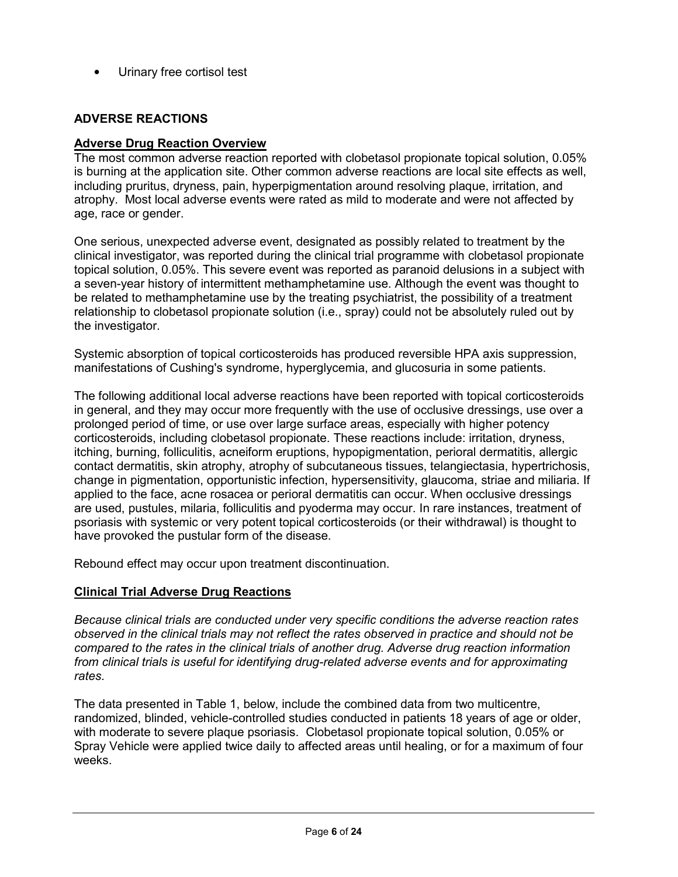<span id="page-5-0"></span>Urinary free cortisol test

## **ADVERSE REACTIONS**

#### **Adverse Drug Reaction Overview**

The most common adverse reaction reported with clobetasol propionate topical solution, 0.05% is burning at the application site. Other common adverse reactions are local site effects as well, including pruritus, dryness, pain, hyperpigmentation around resolving plaque, irritation, and atrophy. Most local adverse events were rated as mild to moderate and were not affected by age, race or gender.

One serious, unexpected adverse event, designated as possibly related to treatment by the clinical investigator, was reported during the clinical trial programme with clobetasol propionate topical solution, 0.05%. This severe event was reported as paranoid delusions in a subject with a seven-year history of intermittent methamphetamine use. Although the event was thought to be related to methamphetamine use by the treating psychiatrist, the possibility of a treatment relationship to clobetasol propionate solution (i.e., spray) could not be absolutely ruled out by the investigator.

Systemic absorption of topical corticosteroids has produced reversible HPA axis suppression, manifestations of Cushing's syndrome, hyperglycemia, and glucosuria in some patients.

The following additional local adverse reactions have been reported with topical corticosteroids in general, and they may occur more frequently with the use of occlusive dressings, use over a prolonged period of time, or use over large surface areas, especially with higher potency corticosteroids, including clobetasol propionate. These reactions include: irritation, dryness, itching, burning, folliculitis, acneiform eruptions, hypopigmentation, perioral dermatitis, allergic contact dermatitis, skin atrophy, atrophy of subcutaneous tissues, telangiectasia, hypertrichosis, change in pigmentation, opportunistic infection, hypersensitivity, glaucoma, striae and miliaria. If applied to the face, acne rosacea or perioral dermatitis can occur. When occlusive dressings are used, pustules, milaria, folliculitis and pyoderma may occur. In rare instances, treatment of psoriasis with systemic or very potent topical corticosteroids (or their withdrawal) is thought to have provoked the pustular form of the disease.

Rebound effect may occur upon treatment discontinuation.

### **Clinical Trial Adverse Drug Reactions**

*Because clinical trials are conducted under very specific conditions the adverse reaction rates observed in the clinical trials may not reflect the rates observed in practice and should not be compared to the rates in the clinical trials of another drug. Adverse drug reaction information from clinical trials is useful for identifying drug-related adverse events and for approximating rates*.

The data presented in Table 1, below, include the combined data from two multicentre, randomized, blinded, vehicle-controlled studies conducted in patients 18 years of age or older, with moderate to severe plaque psoriasis. Clobetasol propionate topical solution, 0.05% or Spray Vehicle were applied twice daily to affected areas until healing, or for a maximum of four weeks.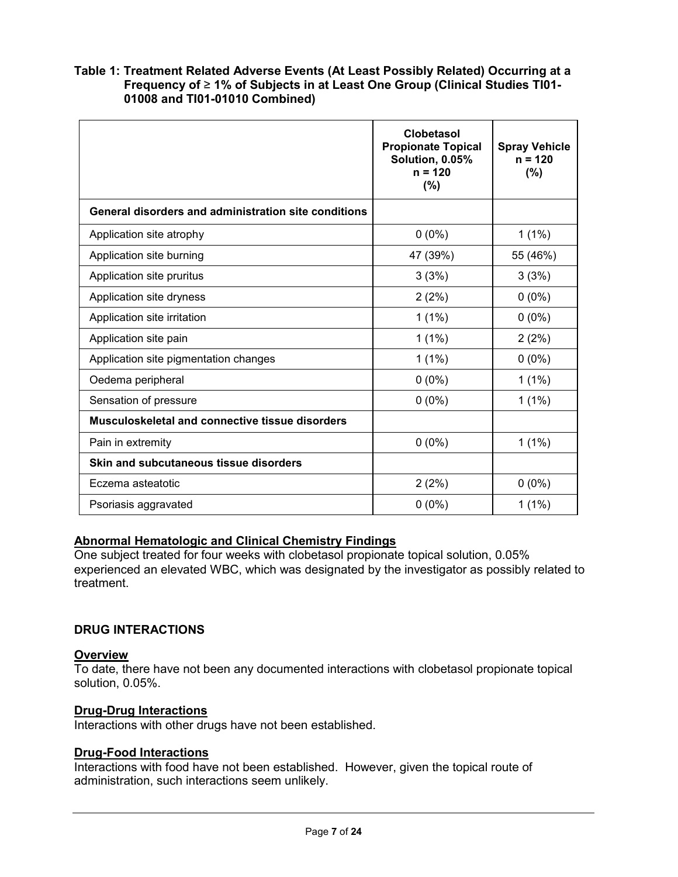#### **Table 1: Treatment Related Adverse Events (At Least Possibly Related) Occurring at a Frequency of** ≥ **1% of Subjects in at Least One Group (Clinical Studies TI01- 01008 and TI01-01010 Combined)**

|                                                      | <b>Clobetasol</b><br><b>Propionate Topical</b><br>Solution, 0.05%<br>$n = 120$<br>(%) | <b>Spray Vehicle</b><br>$n = 120$<br>(%) |
|------------------------------------------------------|---------------------------------------------------------------------------------------|------------------------------------------|
| General disorders and administration site conditions |                                                                                       |                                          |
| Application site atrophy                             | $0(0\%)$                                                                              | $1(1\%)$                                 |
| Application site burning                             | 47 (39%)                                                                              | 55 (46%)                                 |
| Application site pruritus                            | 3(3%)                                                                                 | 3(3%)                                    |
| Application site dryness                             | 2(2%)                                                                                 | $0(0\%)$                                 |
| Application site irritation                          | $1(1\%)$                                                                              | $0(0\%)$                                 |
| Application site pain                                | $1(1\%)$                                                                              | 2(2%)                                    |
| Application site pigmentation changes                | $1(1\%)$                                                                              | $0(0\%)$                                 |
| Oedema peripheral                                    | $0(0\%)$                                                                              | $1(1\%)$                                 |
| Sensation of pressure                                | $0(0\%)$                                                                              | $1(1\%)$                                 |
| Musculoskeletal and connective tissue disorders      |                                                                                       |                                          |
| Pain in extremity                                    | $0(0\%)$                                                                              | $1(1\%)$                                 |
| Skin and subcutaneous tissue disorders               |                                                                                       |                                          |
| Eczema asteatotic                                    | 2(2%)                                                                                 | $0(0\%)$                                 |
| Psoriasis aggravated                                 | $0(0\%)$                                                                              | $1(1\%)$                                 |

### **Abnormal Hematologic and Clinical Chemistry Findings**

One subject treated for four weeks with clobetasol propionate topical solution, 0.05% experienced an elevated WBC, which was designated by the investigator as possibly related to treatment.

### <span id="page-6-0"></span>**DRUG INTERACTIONS**

#### **Overview**

To date, there have not been any documented interactions with clobetasol propionate topical solution, 0.05%.

#### **Drug-Drug Interactions**

Interactions with other drugs have not been established.

#### **Drug-Food Interactions**

Interactions with food have not been established. However, given the topical route of administration, such interactions seem unlikely.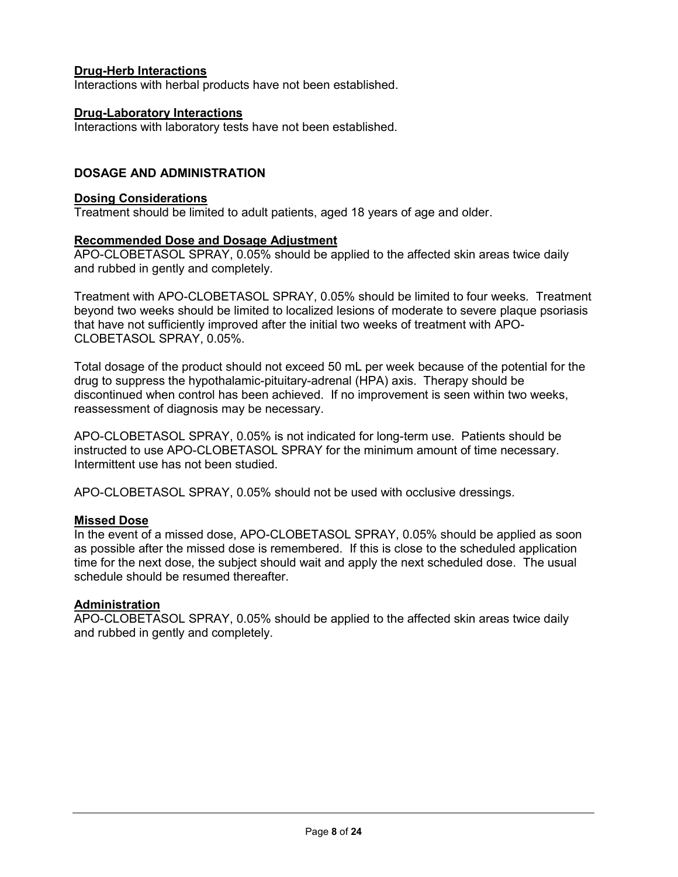### **Drug-Herb Interactions**

Interactions with herbal products have not been established.

#### **Drug-Laboratory Interactions**

<span id="page-7-0"></span>Interactions with laboratory tests have not been established.

### **DOSAGE AND ADMINISTRATION**

#### **Dosing Considerations**

Treatment should be limited to adult patients, aged 18 years of age and older.

#### **Recommended Dose and Dosage Adjustment**

APO-CLOBETASOL SPRAY, 0.05% should be applied to the affected skin areas twice daily and rubbed in gently and completely.

Treatment with APO-CLOBETASOL SPRAY, 0.05% should be limited to four weeks. Treatment beyond two weeks should be limited to localized lesions of moderate to severe plaque psoriasis that have not sufficiently improved after the initial two weeks of treatment with APO-CLOBETASOL SPRAY, 0.05%.

Total dosage of the product should not exceed 50 mL per week because of the potential for the drug to suppress the hypothalamic-pituitary-adrenal (HPA) axis. Therapy should be discontinued when control has been achieved. If no improvement is seen within two weeks, reassessment of diagnosis may be necessary.

APO-CLOBETASOL SPRAY, 0.05% is not indicated for long-term use. Patients should be instructed to use APO-CLOBETASOL SPRAY for the minimum amount of time necessary. Intermittent use has not been studied.

APO-CLOBETASOL SPRAY, 0.05% should not be used with occlusive dressings.

### **Missed Dose**

In the event of a missed dose, APO-CLOBETASOL SPRAY, 0.05% should be applied as soon as possible after the missed dose is remembered. If this is close to the scheduled application time for the next dose, the subject should wait and apply the next scheduled dose. The usual schedule should be resumed thereafter.

#### **Administration**

APO-CLOBETASOL SPRAY, 0.05% should be applied to the affected skin areas twice daily and rubbed in gently and completely.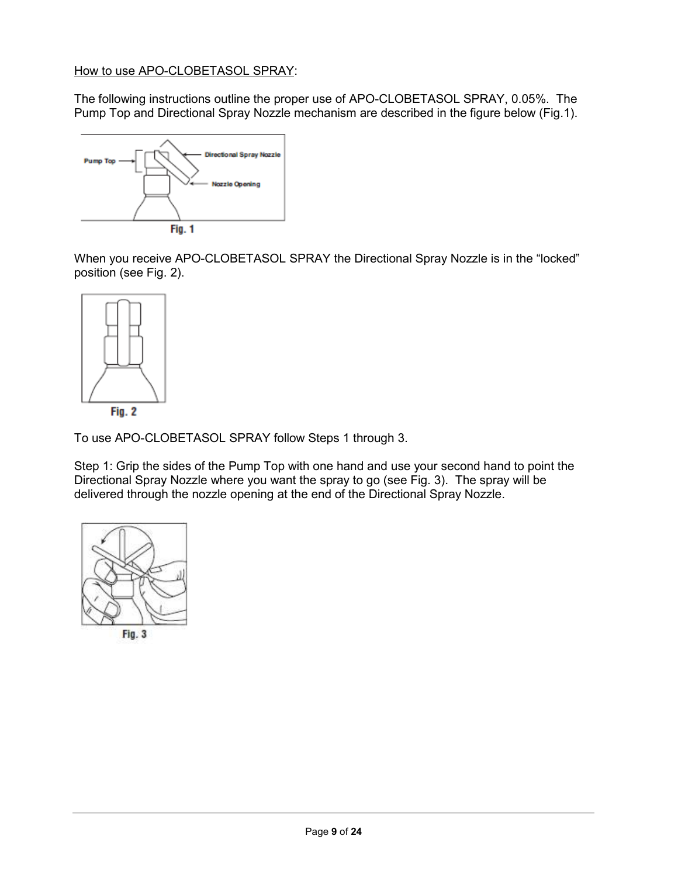### How to use APO-CLOBETASOL SPRAY:

The following instructions outline the proper use of APO-CLOBETASOL SPRAY, 0.05%. The Pump Top and Directional Spray Nozzle mechanism are described in the figure below (Fig.1).



When you receive APO-CLOBETASOL SPRAY the Directional Spray Nozzle is in the "locked" position (see Fig. 2).



To use APO-CLOBETASOL SPRAY follow Steps 1 through 3.

Step 1: Grip the sides of the Pump Top with one hand and use your second hand to point the Directional Spray Nozzle where you want the spray to go (see Fig. 3). The spray will be delivered through the nozzle opening at the end of the Directional Spray Nozzle.

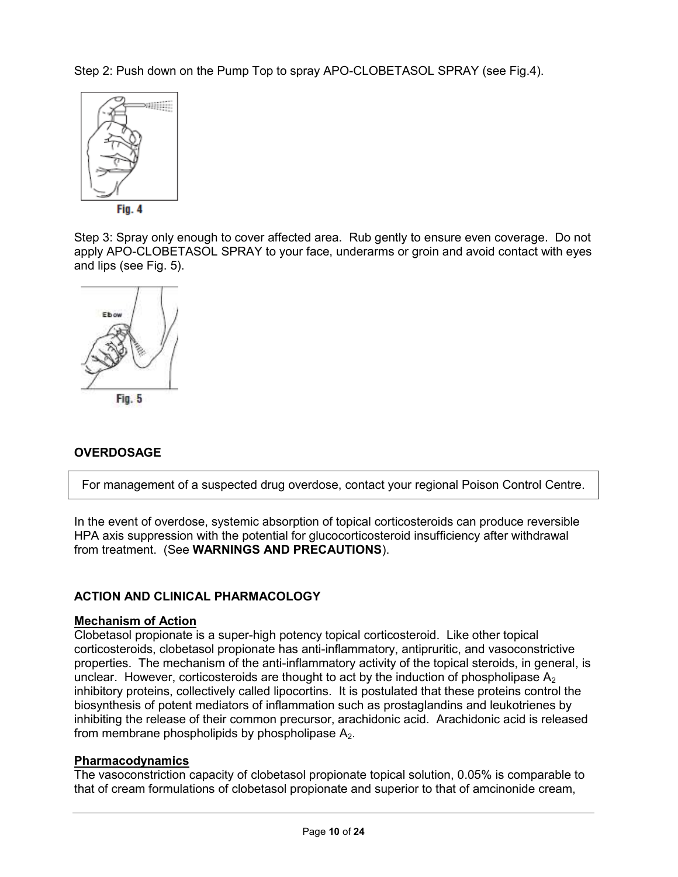Step 2: Push down on the Pump Top to spray APO-CLOBETASOL SPRAY (see Fig.4).



Step 3: Spray only enough to cover affected area. Rub gently to ensure even coverage. Do not apply APO-CLOBETASOL SPRAY to your face, underarms or groin and avoid contact with eyes and lips (see Fig. 5).



# <span id="page-9-0"></span>**OVERDOSAGE**

For management of a suspected drug overdose, contact your regional Poison Control Centre.

In the event of overdose, systemic absorption of topical corticosteroids can produce reversible HPA axis suppression with the potential for glucocorticosteroid insufficiency after withdrawal from treatment. (See **WARNINGS AND PRECAUTIONS**).

# <span id="page-9-1"></span>**ACTION AND CLINICAL PHARMACOLOGY**

### **Mechanism of Action**

Clobetasol propionate is a super-high potency topical corticosteroid. Like other topical corticosteroids, clobetasol propionate has anti-inflammatory, antipruritic, and vasoconstrictive properties. The mechanism of the anti-inflammatory activity of the topical steroids, in general, is unclear. However, corticosteroids are thought to act by the induction of phospholipase  $A_2$ inhibitory proteins, collectively called lipocortins. It is postulated that these proteins control the biosynthesis of potent mediators of inflammation such as prostaglandins and leukotrienes by inhibiting the release of their common precursor, arachidonic acid. Arachidonic acid is released from membrane phospholipids by phospholipase  $A_2$ .

### **Pharmacodynamics**

The vasoconstriction capacity of clobetasol propionate topical solution, 0.05% is comparable to that of cream formulations of clobetasol propionate and superior to that of amcinonide cream,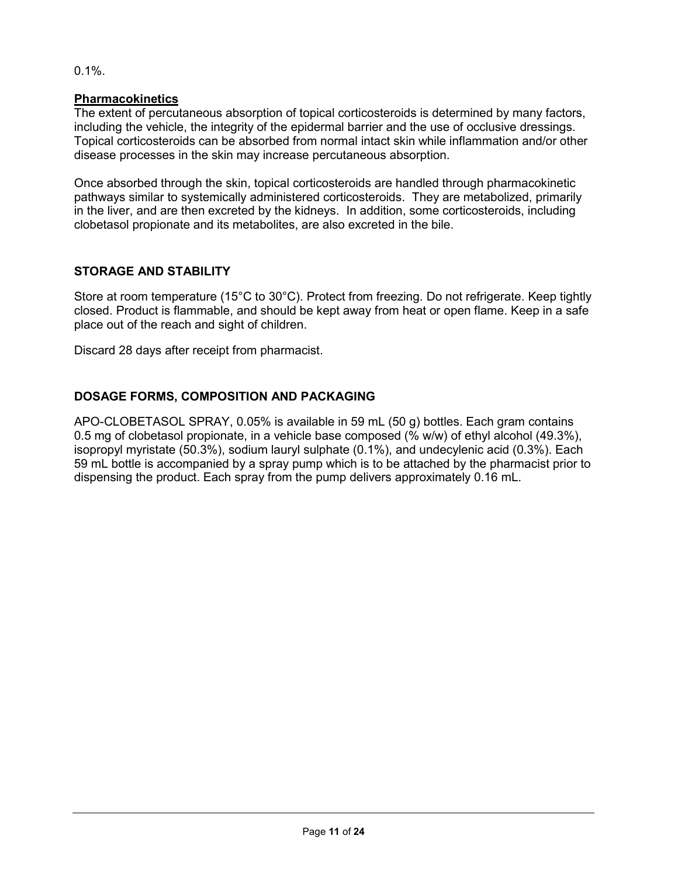# 0.1%.

### **Pharmacokinetics**

The extent of percutaneous absorption of topical corticosteroids is determined by many factors, including the vehicle, the integrity of the epidermal barrier and the use of occlusive dressings. Topical corticosteroids can be absorbed from normal intact skin while inflammation and/or other disease processes in the skin may increase percutaneous absorption.

Once absorbed through the skin, topical corticosteroids are handled through pharmacokinetic pathways similar to systemically administered corticosteroids. They are metabolized, primarily in the liver, and are then excreted by the kidneys. In addition, some corticosteroids, including clobetasol propionate and its metabolites, are also excreted in the bile.

# <span id="page-10-0"></span>**STORAGE AND STABILITY**

Store at room temperature (15°C to 30°C). Protect from freezing. Do not refrigerate. Keep tightly closed. Product is flammable, and should be kept away from heat or open flame. Keep in a safe place out of the reach and sight of children.

<span id="page-10-1"></span>Discard 28 days after receipt from pharmacist.

# **DOSAGE FORMS, COMPOSITION AND PACKAGING**

APO-CLOBETASOL SPRAY, 0.05% is available in 59 mL (50 g) bottles. Each gram contains 0.5 mg of clobetasol propionate, in a vehicle base composed (% w/w) of ethyl alcohol (49.3%), isopropyl myristate (50.3%), sodium lauryl sulphate (0.1%), and undecylenic acid (0.3%). Each 59 mL bottle is accompanied by a spray pump which is to be attached by the pharmacist prior to dispensing the product. Each spray from the pump delivers approximately 0.16 mL.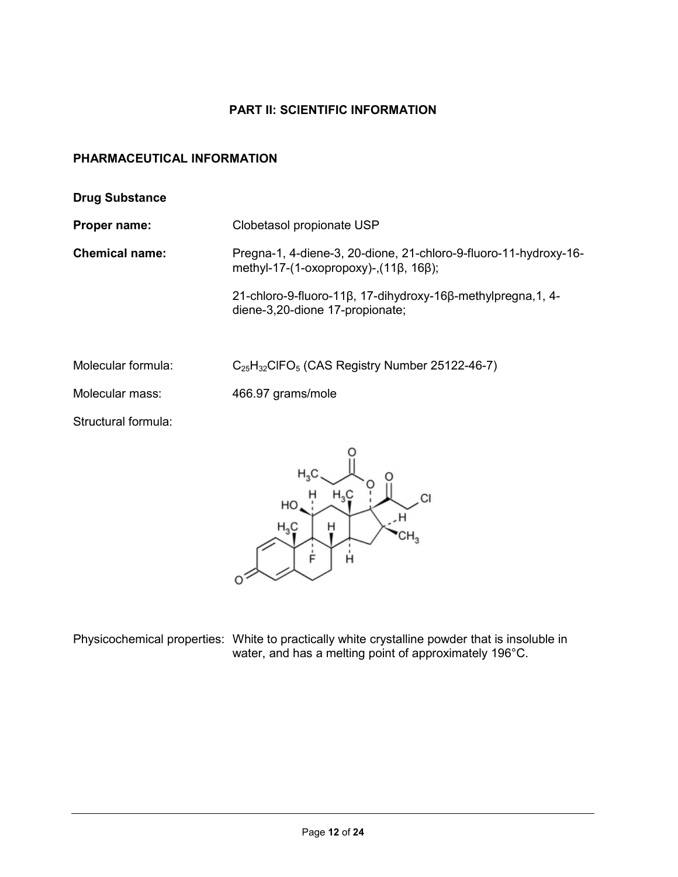# **PART II: SCIENTIFIC INFORMATION**

## <span id="page-11-1"></span><span id="page-11-0"></span>**PHARMACEUTICAL INFORMATION**

- **Drug Substance**
- 

**Proper name:** Clobetasol propionate USP

**Chemical name:** Pregna-1, 4-diene-3, 20-dione, 21-chloro-9-fluoro-11-hydroxy-16 methyl-17-(1-oxopropoxy)-,(11β, 16β);

> 21-chloro-9-fluoro-11β, 17-dihydroxy-16β-methylpregna,1, 4 diene-3,20-dione 17-propionate;

Molecular formula: C<sub>25</sub>H<sub>32</sub>ClFO<sub>5</sub> (CAS Registry Number 25122-46-7)

Molecular mass: 466.97 grams/mole

Structural formula:



Physicochemical properties: White to practically white crystalline powder that is insoluble in water, and has a melting point of approximately 196°C.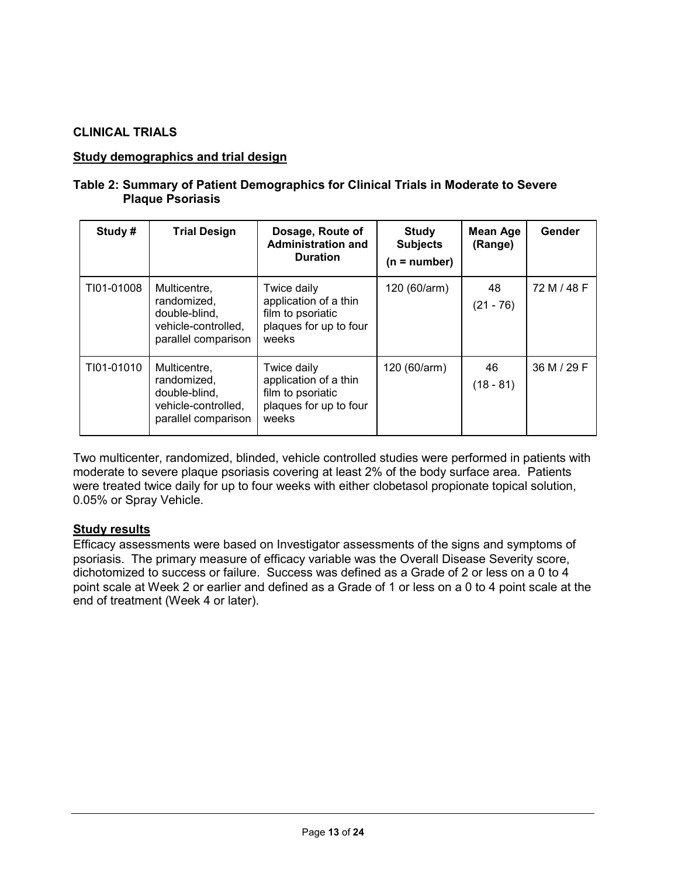### <span id="page-12-0"></span>**CLINICAL TRIALS**

#### **Study demographics and trial design**

#### **Table 2: Summary of Patient Demographics for Clinical Trials in Moderate to Severe Plaque Psoriasis**

| Study#     | <b>Trial Design</b>                                                                        | Dosage, Route of<br><b>Administration and</b><br><b>Duration</b>                             | Study<br><b>Subjects</b><br>$(n = number)$ | <b>Mean Age</b><br>(Range) | Gender      |
|------------|--------------------------------------------------------------------------------------------|----------------------------------------------------------------------------------------------|--------------------------------------------|----------------------------|-------------|
| TI01-01008 | Multicentre,<br>randomized,<br>double-blind,<br>vehicle-controlled,<br>parallel comparison | Twice daily<br>application of a thin<br>film to psoriatic<br>plaques for up to four<br>weeks | 120 (60/arm)                               | 48<br>$(21 - 76)$          | 72 M / 48 F |
| TI01-01010 | Multicentre.<br>randomized,<br>double-blind,<br>vehicle-controlled,<br>parallel comparison | Twice daily<br>application of a thin<br>film to psoriatic<br>plaques for up to four<br>weeks | 120 (60/arm)                               | 46<br>$(18 - 81)$          | 36 M / 29 F |

Two multicenter, randomized, blinded, vehicle controlled studies were performed in patients with moderate to severe plaque psoriasis covering at least 2% of the body surface area. Patients were treated twice daily for up to four weeks with either clobetasol propionate topical solution, 0.05% or Spray Vehicle.

### **Study results**

Efficacy assessments were based on Investigator assessments of the signs and symptoms of psoriasis. The primary measure of efficacy variable was the Overall Disease Severity score, dichotomized to success or failure. Success was defined as a Grade of 2 or less on a 0 to 4 point scale at Week 2 or earlier and defined as a Grade of 1 or less on a 0 to 4 point scale at the end of treatment (Week 4 or later).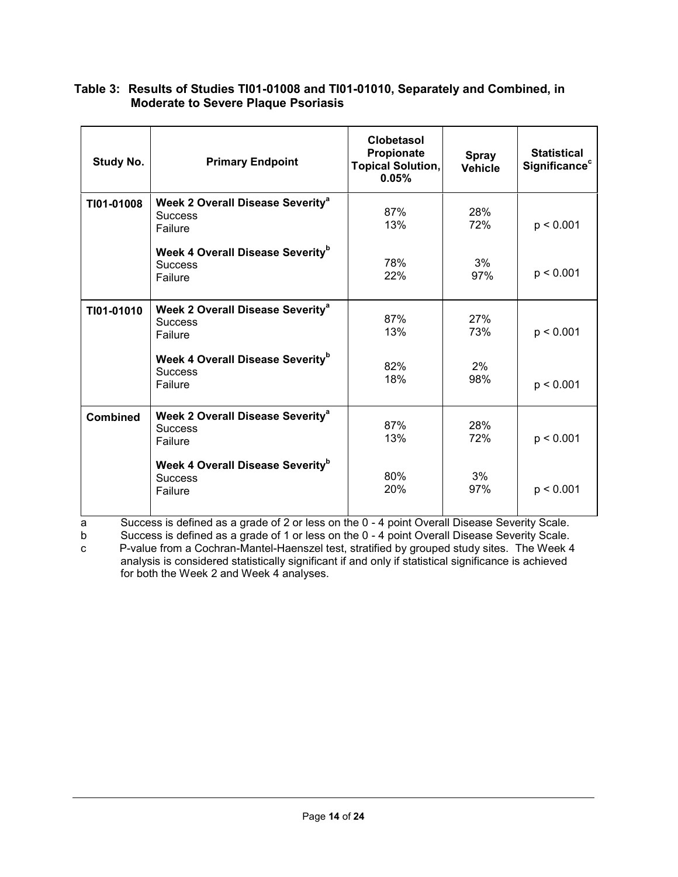### **Table 3: Results of Studies TI01-01008 and TI01-01010, Separately and Combined, in Moderate to Severe Plaque Psoriasis**

| <b>Study No.</b> | <b>Primary Endpoint</b>                                                          | <b>Clobetasol</b><br>Propionate<br><b>Topical Solution,</b><br>0.05% | <b>Spray</b><br><b>Vehicle</b> | <b>Statistical</b><br>Significance <sup>c</sup> |
|------------------|----------------------------------------------------------------------------------|----------------------------------------------------------------------|--------------------------------|-------------------------------------------------|
| TI01-01008       | <b>Week 2 Overall Disease Severity<sup>a</sup></b><br><b>Success</b><br>Failure  | 87%<br>13%                                                           | 28%<br>72%                     | p < 0.001                                       |
|                  | Week 4 Overall Disease Severity <sup>b</sup><br><b>Success</b><br>Failure        | 78%<br>22%                                                           | 3%<br>97%                      | p < 0.001                                       |
| TI01-01010       | Week 2 Overall Disease Severity <sup>a</sup><br><b>Success</b><br>Failure        | 87%<br>13%                                                           | 27%<br>73%                     | p < 0.001                                       |
|                  | <b>Week 4 Overall Disease Severity</b> <sup>b</sup><br><b>Success</b><br>Failure | 82%<br>18%                                                           | 2%<br>98%                      | p < 0.001                                       |
| <b>Combined</b>  | Week 2 Overall Disease Severity <sup>a</sup><br><b>Success</b><br>Failure        | 87%<br>13%                                                           | 28%<br>72%                     | p < 0.001                                       |
|                  | Week 4 Overall Disease Severity <sup>b</sup><br><b>Success</b><br>Failure        | 80%<br>20%                                                           | 3%<br>97%                      | p < 0.001                                       |

a Success is defined as a grade of 2 or less on the 0 - 4 point Overall Disease Severity Scale.

b Success is defined as a grade of 1 or less on the 0 - 4 point Overall Disease Severity Scale.<br>
c P-value from a Cochran-Mantel-Haenszel test, stratified by grouped study sites. The Week 4 P-value from a Cochran-Mantel-Haenszel test, stratified by grouped study sites. The Week 4 analysis is considered statistically significant if and only if statistical significance is achieved for both the Week 2 and Week 4 analyses.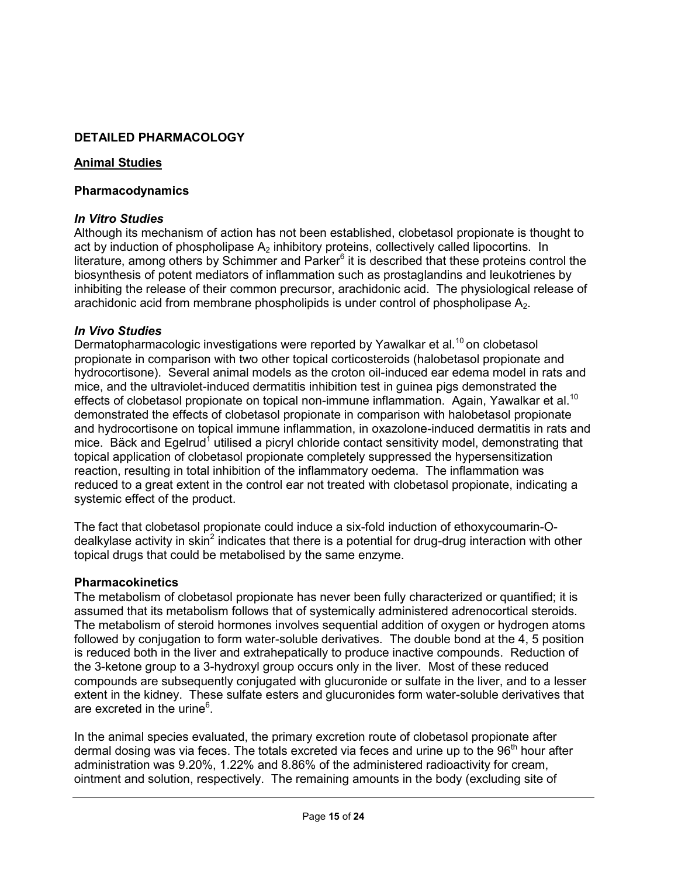# <span id="page-14-0"></span>**DETAILED PHARMACOLOGY**

### **Animal Studies**

### **Pharmacodynamics**

### *In Vitro Studies*

Although its mechanism of action has not been established, clobetasol propionate is thought to act by induction of phospholipase  $A<sub>2</sub>$  inhibitory proteins, collectively called lipocortins. In literature, among others by Schimmer and Parker $6$  it is described that these proteins control the biosynthesis of potent mediators of inflammation such as prostaglandins and leukotrienes by inhibiting the release of their common precursor, arachidonic acid. The physiological release of arachidonic acid from membrane phospholipids is under control of phospholipase  $A_2$ .

### *In Vivo Studies*

Dermatopharmacologic investigations were reported by Yawalkar et al.<sup>10</sup> on clobetasol propionate in comparison with two other topical corticosteroids (halobetasol propionate and hydrocortisone). Several animal models as the croton oil-induced ear edema model in rats and mice, and the ultraviolet-induced dermatitis inhibition test in guinea pigs demonstrated the effects of clobetasol propionate on topical non-immune inflammation. Again, Yawalkar et al.<sup>10</sup> demonstrated the effects of clobetasol propionate in comparison with halobetasol propionate and hydrocortisone on topical immune inflammation, in oxazolone-induced dermatitis in rats and mice. Bäck and Egelrud<sup>1</sup> utilised a picryl chloride contact sensitivity model, demonstrating that topical application of clobetasol propionate completely suppressed the hypersensitization reaction, resulting in total inhibition of the inflammatory oedema. The inflammation was reduced to a great extent in the control ear not treated with clobetasol propionate, indicating a systemic effect of the product.

The fact that clobetasol propionate could induce a six-fold induction of ethoxycoumarin-Odealkylase activity in skin<sup>2</sup> indicates that there is a potential for drug-drug interaction with other topical drugs that could be metabolised by the same enzyme.

### **Pharmacokinetics**

The metabolism of clobetasol propionate has never been fully characterized or quantified; it is assumed that its metabolism follows that of systemically administered adrenocortical steroids. The metabolism of steroid hormones involves sequential addition of oxygen or hydrogen atoms followed by conjugation to form water-soluble derivatives. The double bond at the 4, 5 position is reduced both in the liver and extrahepatically to produce inactive compounds. Reduction of the 3-ketone group to a 3-hydroxyl group occurs only in the liver. Most of these reduced compounds are subsequently conjugated with glucuronide or sulfate in the liver, and to a lesser extent in the kidney. These sulfate esters and glucuronides form water-soluble derivatives that are excreted in the urine<sup>6</sup>.

In the animal species evaluated, the primary excretion route of clobetasol propionate after dermal dosing was via feces. The totals excreted via feces and urine up to the  $96<sup>th</sup>$  hour after administration was 9.20%, 1.22% and 8.86% of the administered radioactivity for cream, ointment and solution, respectively. The remaining amounts in the body (excluding site of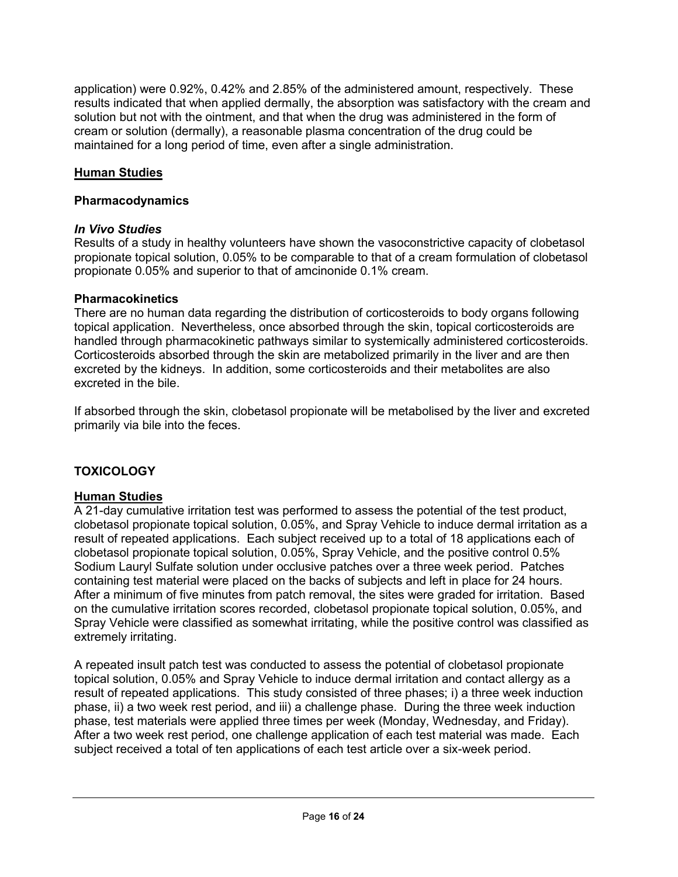application) were 0.92%, 0.42% and 2.85% of the administered amount, respectively. These results indicated that when applied dermally, the absorption was satisfactory with the cream and solution but not with the ointment, and that when the drug was administered in the form of cream or solution (dermally), a reasonable plasma concentration of the drug could be maintained for a long period of time, even after a single administration.

# **Human Studies**

# **Pharmacodynamics**

# *In Vivo Studies*

Results of a study in healthy volunteers have shown the vasoconstrictive capacity of clobetasol propionate topical solution, 0.05% to be comparable to that of a cream formulation of clobetasol propionate 0.05% and superior to that of amcinonide 0.1% cream.

# **Pharmacokinetics**

There are no human data regarding the distribution of corticosteroids to body organs following topical application. Nevertheless, once absorbed through the skin, topical corticosteroids are handled through pharmacokinetic pathways similar to systemically administered corticosteroids. Corticosteroids absorbed through the skin are metabolized primarily in the liver and are then excreted by the kidneys. In addition, some corticosteroids and their metabolites are also excreted in the bile.

<span id="page-15-0"></span>If absorbed through the skin, clobetasol propionate will be metabolised by the liver and excreted primarily via bile into the feces.

# **TOXICOLOGY**

# **Human Studies**

A 21-day cumulative irritation test was performed to assess the potential of the test product, clobetasol propionate topical solution, 0.05%, and Spray Vehicle to induce dermal irritation as a result of repeated applications. Each subject received up to a total of 18 applications each of clobetasol propionate topical solution, 0.05%, Spray Vehicle, and the positive control 0.5% Sodium Lauryl Sulfate solution under occlusive patches over a three week period. Patches containing test material were placed on the backs of subjects and left in place for 24 hours. After a minimum of five minutes from patch removal, the sites were graded for irritation. Based on the cumulative irritation scores recorded, clobetasol propionate topical solution, 0.05%, and Spray Vehicle were classified as somewhat irritating, while the positive control was classified as extremely irritating.

A repeated insult patch test was conducted to assess the potential of clobetasol propionate topical solution, 0.05% and Spray Vehicle to induce dermal irritation and contact allergy as a result of repeated applications. This study consisted of three phases; i) a three week induction phase, ii) a two week rest period, and iii) a challenge phase. During the three week induction phase, test materials were applied three times per week (Monday, Wednesday, and Friday). After a two week rest period, one challenge application of each test material was made. Each subject received a total of ten applications of each test article over a six-week period.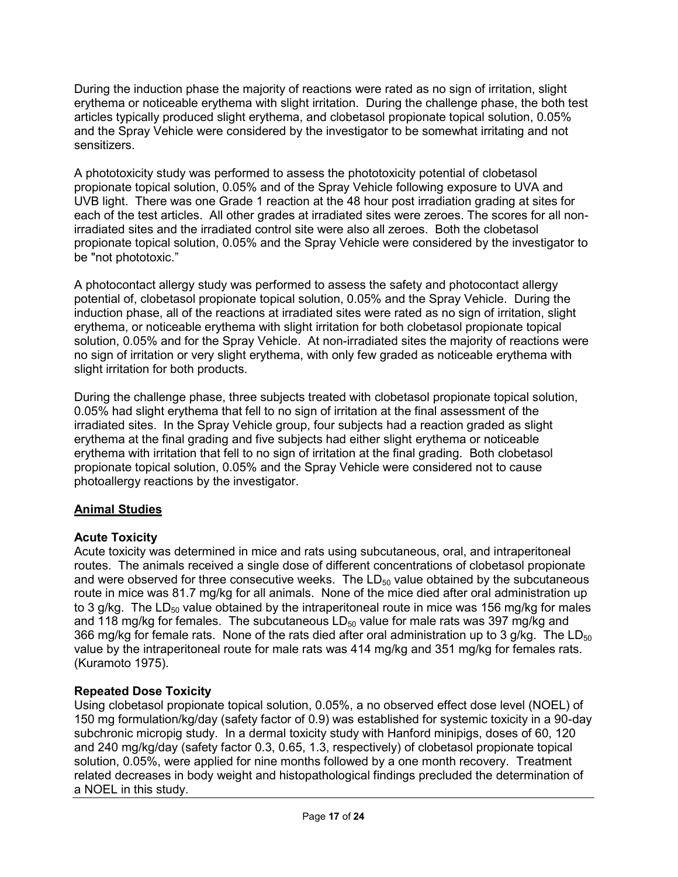During the induction phase the majority of reactions were rated as no sign of irritation, slight erythema or noticeable erythema with slight irritation. During the challenge phase, the both test articles typically produced slight erythema, and clobetasol propionate topical solution, 0.05% and the Spray Vehicle were considered by the investigator to be somewhat irritating and not sensitizers.

A phototoxicity study was performed to assess the phototoxicity potential of clobetasol propionate topical solution, 0.05% and of the Spray Vehicle following exposure to UVA and UVB light. There was one Grade 1 reaction at the 48 hour post irradiation grading at sites for each of the test articles. All other grades at irradiated sites were zeroes. The scores for all nonirradiated sites and the irradiated control site were also all zeroes. Both the clobetasol propionate topical solution, 0.05% and the Spray Vehicle were considered by the investigator to be "not phototoxic."

A photocontact allergy study was performed to assess the safety and photocontact allergy potential of, clobetasol propionate topical solution, 0.05% and the Spray Vehicle. During the induction phase, all of the reactions at irradiated sites were rated as no sign of irritation, slight erythema, or noticeable erythema with slight irritation for both clobetasol propionate topical solution, 0.05% and for the Spray Vehicle. At non-irradiated sites the majority of reactions were no sign of irritation or very slight erythema, with only few graded as noticeable erythema with slight irritation for both products.

During the challenge phase, three subjects treated with clobetasol propionate topical solution, 0.05% had slight erythema that fell to no sign of irritation at the final assessment of the irradiated sites. In the Spray Vehicle group, four subjects had a reaction graded as slight erythema at the final grading and five subjects had either slight erythema or noticeable erythema with irritation that fell to no sign of irritation at the final grading. Both clobetasol propionate topical solution, 0.05% and the Spray Vehicle were considered not to cause photoallergy reactions by the investigator.

# **Animal Studies**

# **Acute Toxicity**

Acute toxicity was determined in mice and rats using subcutaneous, oral, and intraperitoneal routes. The animals received a single dose of different concentrations of clobetasol propionate and were observed for three consecutive weeks. The  $LD_{50}$  value obtained by the subcutaneous route in mice was 81.7 mg/kg for all animals. None of the mice died after oral administration up to 3 g/kg. The  $LD_{50}$  value obtained by the intraperitoneal route in mice was 156 mg/kg for males and 118 mg/kg for females. The subcutaneous  $LD_{50}$  value for male rats was 397 mg/kg and 366 mg/kg for female rats. None of the rats died after oral administration up to 3 g/kg. The  $LD_{50}$ value by the intraperitoneal route for male rats was 414 mg/kg and 351 mg/kg for females rats. (Kuramoto 1975).

# **Repeated Dose Toxicity**

Using clobetasol propionate topical solution, 0.05%, a no observed effect dose level (NOEL) of 150 mg formulation/kg/day (safety factor of 0.9) was established for systemic toxicity in a 90-day subchronic micropig study. In a dermal toxicity study with Hanford minipigs, doses of 60, 120 and 240 mg/kg/day (safety factor 0.3, 0.65, 1.3, respectively) of clobetasol propionate topical solution, 0.05%, were applied for nine months followed by a one month recovery. Treatment related decreases in body weight and histopathological findings precluded the determination of a NOEL in this study.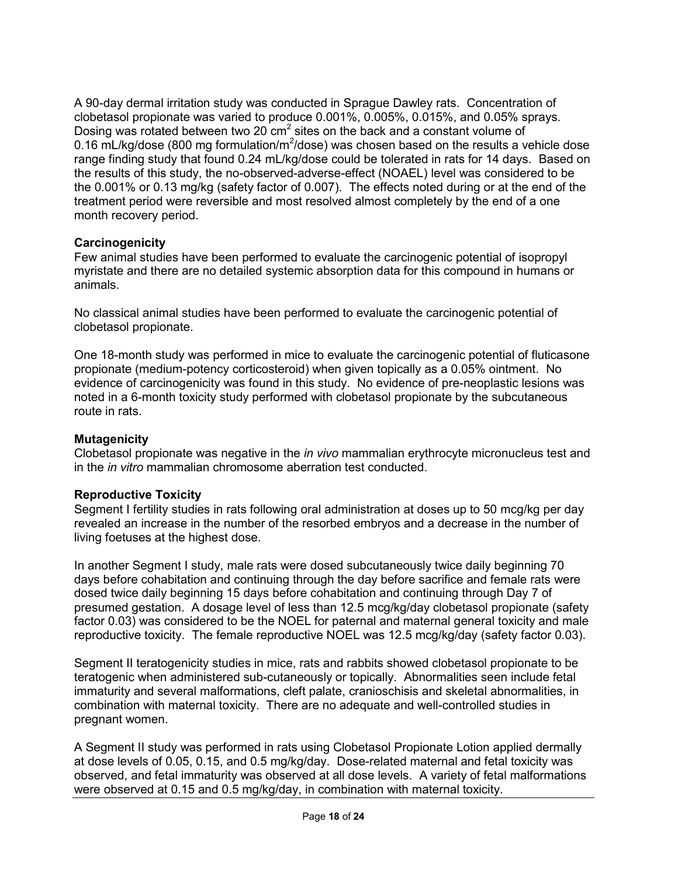A 90-day dermal irritation study was conducted in Sprague Dawley rats. Concentration of clobetasol propionate was varied to produce 0.001%, 0.005%, 0.015%, and 0.05% sprays. Dosing was rotated between two 20  $\text{cm}^2$  sites on the back and a constant volume of 0.16 mL/kg/dose (800 mg formulation/m<sup>2</sup>/dose) was chosen based on the results a vehicle dose range finding study that found 0.24 mL/kg/dose could be tolerated in rats for 14 days. Based on the results of this study, the no-observed-adverse-effect (NOAEL) level was considered to be the 0.001% or 0.13 mg/kg (safety factor of 0.007). The effects noted during or at the end of the treatment period were reversible and most resolved almost completely by the end of a one month recovery period.

### **Carcinogenicity**

Few animal studies have been performed to evaluate the carcinogenic potential of isopropyl myristate and there are no detailed systemic absorption data for this compound in humans or animals.

No classical animal studies have been performed to evaluate the carcinogenic potential of clobetasol propionate.

One 18-month study was performed in mice to evaluate the carcinogenic potential of fluticasone propionate (medium-potency corticosteroid) when given topically as a 0.05% ointment. No evidence of carcinogenicity was found in this study. No evidence of pre-neoplastic lesions was noted in a 6-month toxicity study performed with clobetasol propionate by the subcutaneous route in rats.

### **Mutagenicity**

Clobetasol propionate was negative in the *in vivo* mammalian erythrocyte micronucleus test and in the *in vitro* mammalian chromosome aberration test conducted.

### **Reproductive Toxicity**

Segment I fertility studies in rats following oral administration at doses up to 50 mcg/kg per day revealed an increase in the number of the resorbed embryos and a decrease in the number of living foetuses at the highest dose.

In another Segment I study, male rats were dosed subcutaneously twice daily beginning 70 days before cohabitation and continuing through the day before sacrifice and female rats were dosed twice daily beginning 15 days before cohabitation and continuing through Day 7 of presumed gestation. A dosage level of less than 12.5 mcg/kg/day clobetasol propionate (safety factor 0.03) was considered to be the NOEL for paternal and maternal general toxicity and male reproductive toxicity. The female reproductive NOEL was 12.5 mcg/kg/day (safety factor 0.03).

Segment II teratogenicity studies in mice, rats and rabbits showed clobetasol propionate to be teratogenic when administered sub-cutaneously or topically. Abnormalities seen include fetal immaturity and several malformations, cleft palate, cranioschisis and skeletal abnormalities, in combination with maternal toxicity. There are no adequate and well-controlled studies in pregnant women.

A Segment II study was performed in rats using Clobetasol Propionate Lotion applied dermally at dose levels of 0.05, 0.15, and 0.5 mg/kg/day. Dose-related maternal and fetal toxicity was observed, and fetal immaturity was observed at all dose levels. A variety of fetal malformations were observed at 0.15 and 0.5 mg/kg/day, in combination with maternal toxicity.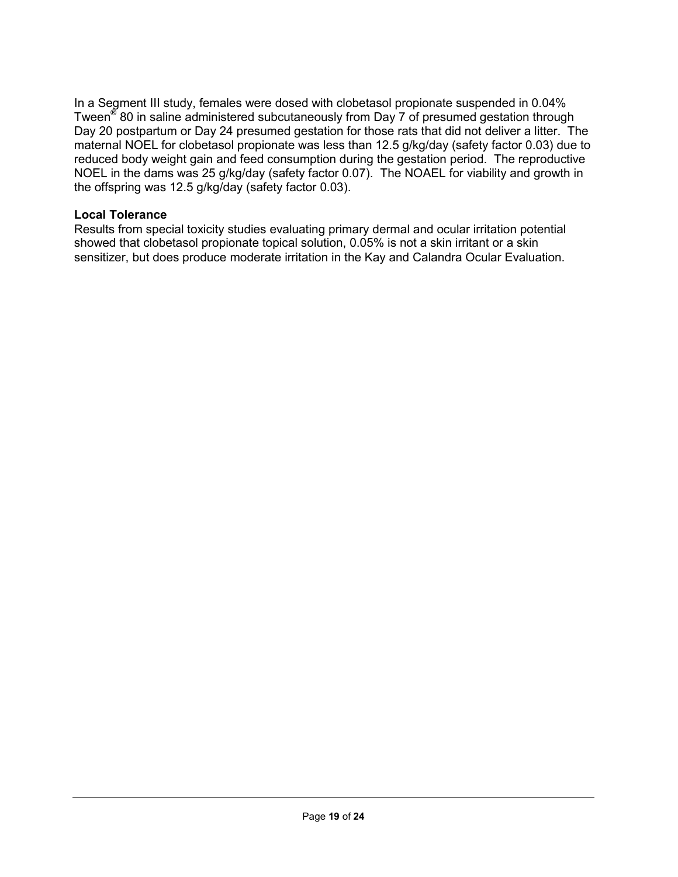In a Segment III study, females were dosed with clobetasol propionate suspended in 0.04% Tween<sup>®</sup> 80 in saline administered subcutaneously from Day 7 of presumed gestation through Day 20 postpartum or Day 24 presumed gestation for those rats that did not deliver a litter. The maternal NOEL for clobetasol propionate was less than 12.5 g/kg/day (safety factor 0.03) due to reduced body weight gain and feed consumption during the gestation period. The reproductive NOEL in the dams was 25 g/kg/day (safety factor 0.07). The NOAEL for viability and growth in the offspring was 12.5 g/kg/day (safety factor 0.03).

## **Local Tolerance**

Results from special toxicity studies evaluating primary dermal and ocular irritation potential showed that clobetasol propionate topical solution, 0.05% is not a skin irritant or a skin sensitizer, but does produce moderate irritation in the Kay and Calandra Ocular Evaluation.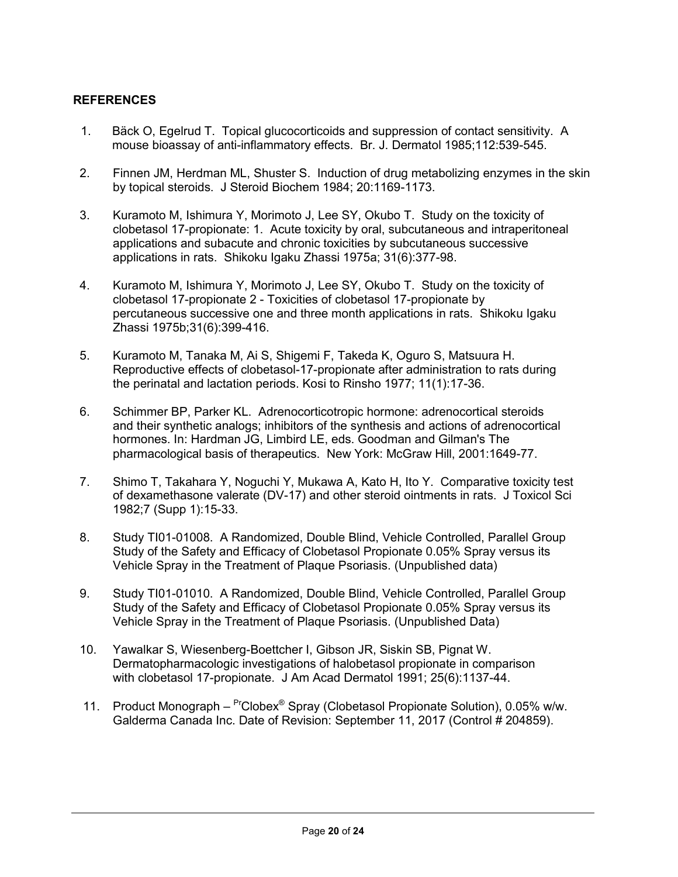## <span id="page-19-0"></span>**REFERENCES**

- 1. Bäck O, Egelrud T. Topical glucocorticoids and suppression of contact sensitivity. A mouse bioassay of anti-inflammatory effects. Br. J. Dermatol 1985;112:539-545.
- 2. Finnen JM, Herdman ML, Shuster S. Induction of drug metabolizing enzymes in the skin by topical steroids. J Steroid Biochem 1984; 20:1169-1173.
- 3. Kuramoto M, Ishimura Y, Morimoto J, Lee SY, Okubo T. Study on the toxicity of clobetasol 17-propionate: 1. Acute toxicity by oral, subcutaneous and intraperitoneal applications and subacute and chronic toxicities by subcutaneous successive applications in rats. Shikoku Igaku Zhassi 1975a; 31(6):377-98.
- 4. Kuramoto M, Ishimura Y, Morimoto J, Lee SY, Okubo T. Study on the toxicity of clobetasol 17-propionate 2 - Toxicities of clobetasol 17-propionate by percutaneous successive one and three month applications in rats. Shikoku Igaku Zhassi 1975b;31(6):399-416.
- 5. Kuramoto M, Tanaka M, Ai S, Shigemi F, Takeda K, Oguro S, Matsuura H. Reproductive effects of clobetasol-17-propionate after administration to rats during the perinatal and lactation periods. Kosi to Rinsho 1977; 11(1):17-36.
- 6. Schimmer BP, Parker KL. Adrenocorticotropic hormone: adrenocortical steroids and their synthetic analogs; inhibitors of the synthesis and actions of adrenocortical hormones. In: Hardman JG, Limbird LE, eds. Goodman and Gilman's The pharmacological basis of therapeutics. New York: McGraw Hill, 2001:1649-77.
- 7. Shimo T, Takahara Y, Noguchi Y, Mukawa A, Kato H, Ito Y. Comparative toxicity test of dexamethasone valerate (DV-17) and other steroid ointments in rats. J Toxicol Sci 1982;7 (Supp 1):15-33.
- 8. Study TI01-01008. A Randomized, Double Blind, Vehicle Controlled, Parallel Group Study of the Safety and Efficacy of Clobetasol Propionate 0.05% Spray versus its Vehicle Spray in the Treatment of Plaque Psoriasis. (Unpublished data)
- 9. Study TI01-01010. A Randomized, Double Blind, Vehicle Controlled, Parallel Group Study of the Safety and Efficacy of Clobetasol Propionate 0.05% Spray versus its Vehicle Spray in the Treatment of Plaque Psoriasis. (Unpublished Data)
- 10. Yawalkar S, Wiesenberg-Boettcher I, Gibson JR, Siskin SB, Pignat W. Dermatopharmacologic investigations of halobetasol propionate in comparison with clobetasol 17-propionate. J Am Acad Dermatol 1991; 25(6):1137-44.
- 11. Product Monograph <sup>Pr</sup>Clobex<sup>®</sup> Spray (Clobetasol Propionate Solution), 0.05% w/w. Galderma Canada Inc. Date of Revision: September 11, 2017 (Control # 204859).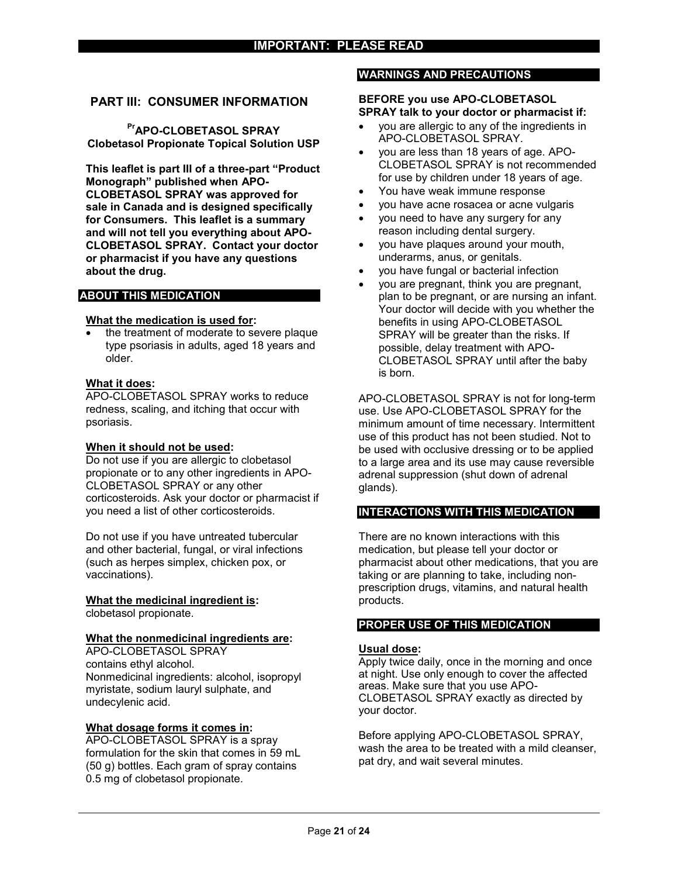#### <span id="page-20-0"></span>**PART III: CONSUMER INFORMATION**

**PrAPO-CLOBETASOL SPRAY Clobetasol Propionate Topical Solution USP**

**This leaflet is part III of a three-part "Product Monograph" published when APO-CLOBETASOL SPRAY was approved for sale in Canada and is designed specifically for Consumers. This leaflet is a summary and will not tell you everything about APO-CLOBETASOL SPRAY. Contact your doctor or pharmacist if you have any questions about the drug.**

#### **ABOUT THIS MEDICATION**

#### **What the medication is used for:**

 the treatment of moderate to severe plaque type psoriasis in adults, aged 18 years and older.

#### **What it does:**

APO-CLOBETASOL SPRAY works to reduce redness, scaling, and itching that occur with psoriasis.

#### **When it should not be used:**

Do not use if you are allergic to clobetasol propionate or to any other ingredients in APO-CLOBETASOL SPRAY or any other corticosteroids. Ask your doctor or pharmacist if you need a list of other corticosteroids.

Do not use if you have untreated tubercular and other bacterial, fungal, or viral infections (such as herpes simplex, chicken pox, or vaccinations).

#### **What the medicinal ingredient is:**

clobetasol propionate.

#### **What the nonmedicinal ingredients are:**

APO-CLOBETASOL SPRAY contains ethyl alcohol. Nonmedicinal ingredients: alcohol, isopropyl myristate, sodium lauryl sulphate, and undecylenic acid.

#### **What dosage forms it comes in:**

APO-CLOBETASOL SPRAY is a spray formulation for the skin that comes in 59 mL (50 g) bottles. Each gram of spray contains 0.5 mg of clobetasol propionate.

#### **WARNINGS AND PRECAUTIONS**

#### **BEFORE you use APO-CLOBETASOL SPRAY talk to your doctor or pharmacist if:**

- you are allergic to any of the ingredients in APO-CLOBETASOL SPRAY.
- you are less than 18 years of age. APO-CLOBETASOL SPRAY is not recommended for use by children under 18 years of age.
- You have weak immune response
- you have acne rosacea or acne vulgaris
- you need to have any surgery for any reason including dental surgery.
- you have plaques around your mouth, underarms, anus, or genitals.
- you have fungal or bacterial infection
- you are pregnant, think you are pregnant, plan to be pregnant, or are nursing an infant. Your doctor will decide with you whether the benefits in using APO-CLOBETASOL SPRAY will be greater than the risks. If possible, delay treatment with APO-CLOBETASOL SPRAY until after the baby is born.

APO-CLOBETASOL SPRAY is not for long-term use. Use APO-CLOBETASOL SPRAY for the minimum amount of time necessary. Intermittent use of this product has not been studied. Not to be used with occlusive dressing or to be applied to a large area and its use may cause reversible adrenal suppression (shut down of adrenal glands).

#### **INTERACTIONS WITH THIS MEDICATION**

There are no known interactions with this medication, but please tell your doctor or pharmacist about other medications, that you are taking or are planning to take, including nonprescription drugs, vitamins, and natural health products.

#### **PROPER USE OF THIS MEDICATION**

#### **Usual dose:**

Apply twice daily, once in the morning and once at night. Use only enough to cover the affected areas. Make sure that you use APO-CLOBETASOL SPRAY exactly as directed by your doctor.

Before applying APO-CLOBETASOL SPRAY, wash the area to be treated with a mild cleanser, pat dry, and wait several minutes.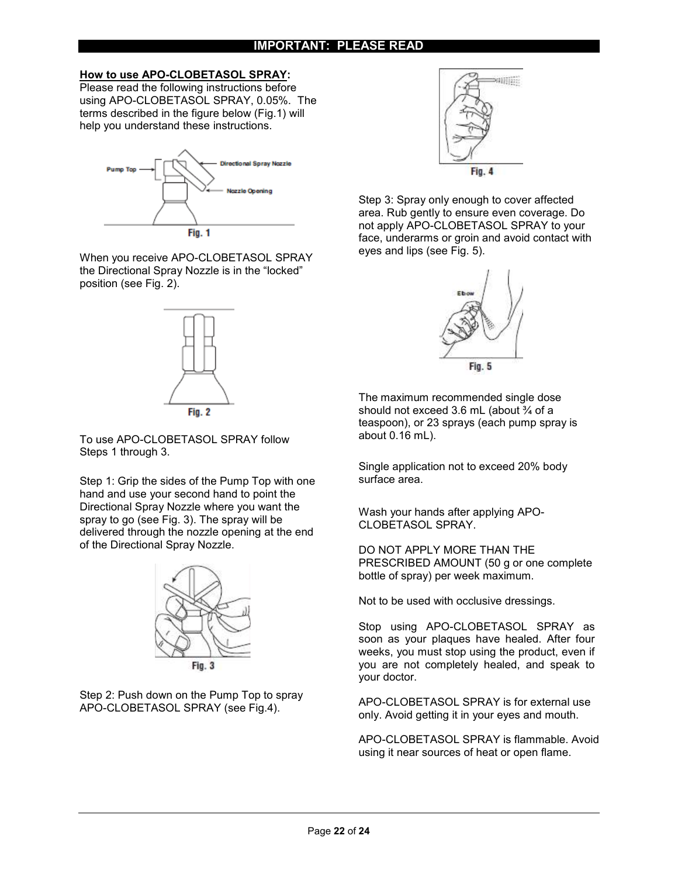#### **How to use APO-CLOBETASOL SPRAY:**

Please read the following instructions before using APO-CLOBETASOL SPRAY, 0.05%. The terms described in the figure below (Fig.1) will help you understand these instructions.



When you receive APO-CLOBETASOL SPRAY the Directional Spray Nozzle is in the "locked" position (see Fig. 2).



To use APO-CLOBETASOL SPRAY follow Steps 1 through 3.

Step 1: Grip the sides of the Pump Top with one hand and use your second hand to point the Directional Spray Nozzle where you want the spray to go (see Fig. 3). The spray will be delivered through the nozzle opening at the end of the Directional Spray Nozzle.







Step 3: Spray only enough to cover affected area. Rub gently to ensure even coverage. Do not apply APO-CLOBETASOL SPRAY to your face, underarms or groin and avoid contact with eyes and lips (see Fig. 5).



The maximum recommended single dose should not exceed 3.6 mL (about  $\frac{3}{4}$  of a teaspoon), or 23 sprays (each pump spray is about 0.16 mL).

Single application not to exceed 20% body surface area.

Wash your hands after applying APO-CLOBETASOL SPRAY.

DO NOT APPLY MORE THAN THE PRESCRIBED AMOUNT (50 g or one complete bottle of spray) per week maximum.

Not to be used with occlusive dressings.

Stop using APO-CLOBETASOL SPRAY as soon as your plaques have healed. After four weeks, you must stop using the product, even if you are not completely healed, and speak to your doctor.

APO-CLOBETASOL SPRAY is for external use only. Avoid getting it in your eyes and mouth.

APO-CLOBETASOL SPRAY is flammable. Avoid using it near sources of heat or open flame.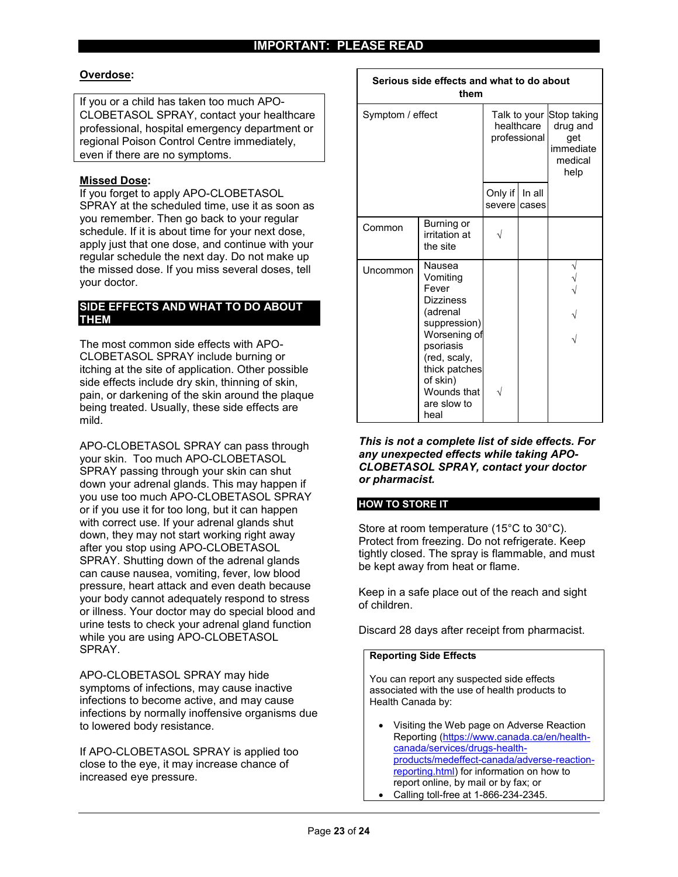$\Gamma$ 

#### **Overdose:**

If you or a child has taken too much APO-CLOBETASOL SPRAY, contact your healthcare professional, hospital emergency department or regional Poison Control Centre immediately, even if there are no symptoms.

#### **Missed Dose:**

If you forget to apply APO-CLOBETASOL SPRAY at the scheduled time, use it as soon as you remember. Then go back to your regular schedule. If it is about time for your next dose, apply just that one dose, and continue with your regular schedule the next day. Do not make up the missed dose. If you miss several doses, tell your doctor.

#### **SIDE EFFECTS AND WHAT TO DO ABOUT THEM**

The most common side effects with APO-CLOBETASOL SPRAY include burning or itching at the site of application. Other possible side effects include dry skin, thinning of skin, pain, or darkening of the skin around the plaque being treated. Usually, these side effects are mild.

APO-CLOBETASOL SPRAY can pass through your skin. Too much APO-CLOBETASOL SPRAY passing through your skin can shut down your adrenal glands. This may happen if you use too much APO-CLOBETASOL SPRAY or if you use it for too long, but it can happen with correct use. If your adrenal glands shut down, they may not start working right away after you stop using APO-CLOBETASOL SPRAY. Shutting down of the adrenal glands can cause nausea, vomiting, fever, low blood pressure, heart attack and even death because your body cannot adequately respond to stress or illness. Your doctor may do special blood and urine tests to check your adrenal gland function while you are using APO-CLOBETASOL SPRAY.

APO-CLOBETASOL SPRAY may hide symptoms of infections, may cause inactive infections to become active, and may cause infections by normally inoffensive organisms due to lowered body resistance.

If APO-CLOBETASOL SPRAY is applied too close to the eye, it may increase chance of increased eye pressure.

| Serious side effects and what to do about<br>them |                                                                                                                                                                                      |                                                        |                 |                                                 |  |
|---------------------------------------------------|--------------------------------------------------------------------------------------------------------------------------------------------------------------------------------------|--------------------------------------------------------|-----------------|-------------------------------------------------|--|
| Symptom / effect                                  |                                                                                                                                                                                      | Talk to your Stop taking<br>healthcare<br>professional |                 | drug and<br>get<br>immediate<br>medical<br>help |  |
|                                                   |                                                                                                                                                                                      | Only if<br>severe                                      | In all<br>cases |                                                 |  |
| Common                                            | Burning or<br>irritation at<br>the site                                                                                                                                              |                                                        |                 |                                                 |  |
| Uncommon                                          | Nausea<br>Vomiting<br>Fever<br>Dizziness<br>(adrenal<br>suppression)<br>Worsening of<br>psoriasis<br>(red, scaly,<br>thick patches<br>of skin)<br>Wounds that<br>are slow to<br>heal |                                                        |                 |                                                 |  |

*This is not a complete list of side effects. For any unexpected effects while taking APO-CLOBETASOL SPRAY, contact your doctor or pharmacist.*

#### **HOW TO STORE IT**

Store at room temperature (15°C to 30°C). Protect from freezing. Do not refrigerate. Keep tightly closed. The spray is flammable, and must be kept away from heat or flame.

Keep in a safe place out of the reach and sight of children.

Discard 28 days after receipt from pharmacist.

#### **Reporting Side Effects**

You can report any suspected side effects associated with the use of health products to Health Canada by:

 Visiting the Web page on Adverse Reaction Reporting (https://www.canada.ca/en/healthcanada/services/drugs-healthproducts/medeffect-canada/adverse-reactionreporting.html) for information on how to report online, by mail or by fax; or Calling toll-free at 1-866-234-2345.